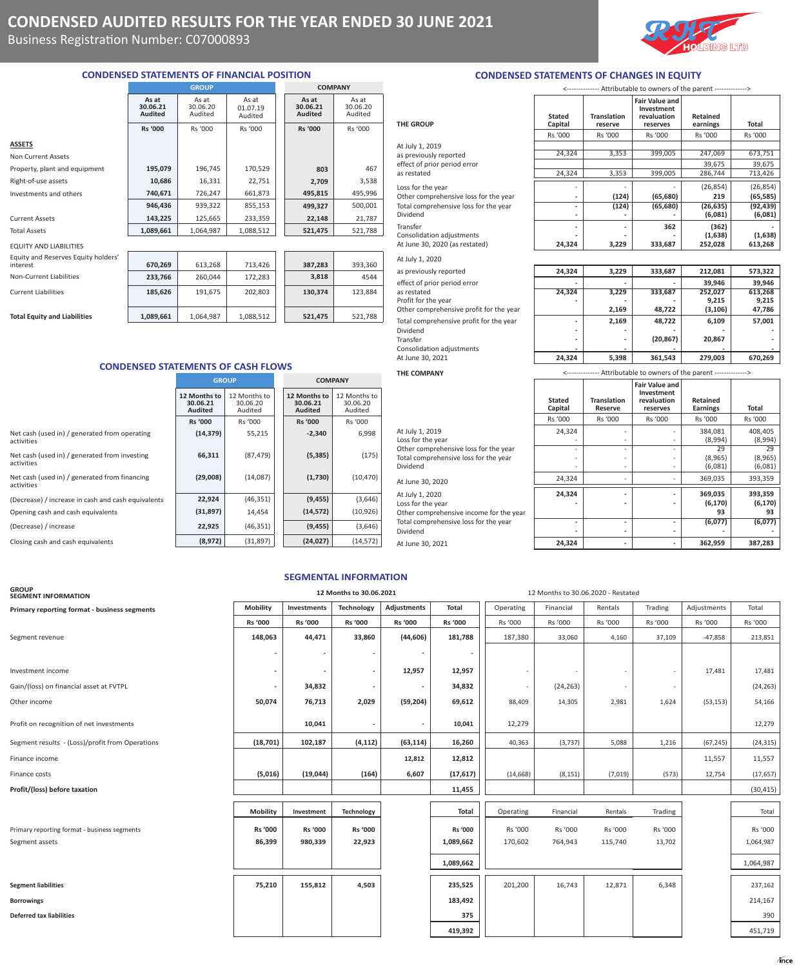Business Registration Number: C07000893

# **CONDENSED STATEMENTS OF FINANCIAL POSITION**

|                               |                                     | <b>GROUP</b>                 | <b>COMPANY</b>               |  |                                     |                              |
|-------------------------------|-------------------------------------|------------------------------|------------------------------|--|-------------------------------------|------------------------------|
|                               | As at<br>30.06.21<br><b>Audited</b> | As at<br>30.06.20<br>Audited | As at<br>01.07.19<br>Audited |  | As at<br>30.06.21<br><b>Audited</b> | As at<br>30.06.20<br>Audited |
|                               | <b>Rs '000</b>                      | Rs '000                      | Rs '000                      |  | <b>Rs '000</b>                      | Rs '000                      |
| <b>ASSETS</b>                 |                                     |                              |                              |  |                                     |                              |
| Non Current Assets            |                                     |                              |                              |  |                                     |                              |
| Property, plant and equipment | 195,079                             | 196,745                      | 170,529                      |  | 803                                 | 467                          |
| Right-of-use assets           | 10,686                              | 16,331                       | 22,751                       |  | 2,709                               | 3,538                        |
| Investments and others        | 740,671                             | 726,247                      | 661,873                      |  | 495,815                             | 495,996                      |
|                               | 946,436                             | 939,322                      | 855,153                      |  | 499,327                             | 500,001                      |
| <b>Current Assets</b>         | 143,225                             | 125,665                      | 233,359                      |  | 22,148                              | 21,787                       |
| <b>Total Assets</b>           | 1,089,661                           | 1,064,987                    | 1,088,512                    |  | 521,475                             | 521,788                      |
| <b>EQUITY AND LIABILITIES</b> |                                     |                              |                              |  |                                     |                              |

| LUUII AND LIADILIILU |  |                                             |
|----------------------|--|---------------------------------------------|
|                      |  | Forestand on all Displacement Forestand In- |

| Equity and Reserves Equity holders'<br>interest | 670.269   | 613.268   | 713.426   | 387.283 | 393.360 |
|-------------------------------------------------|-----------|-----------|-----------|---------|---------|
| Non-Current Liabilities                         | 233,766   | 260.044   | 172.283   | 3,818   | 4544    |
| <b>Current Liabilities</b>                      | 185,626   | 191,675   | 202,803   | 130,374 | 123.884 |
| <b>Total Equity and Liabilities</b>             | 1,089,661 | 1,064,987 | 1,088,512 | 521.475 | 521,788 |

# **CONDENSED STATEMENTS OF CASH FLOWS**

|                                                             | <b>GROUP</b>                               |                                     |  | <b>COMPANY</b>                             |                                     |
|-------------------------------------------------------------|--------------------------------------------|-------------------------------------|--|--------------------------------------------|-------------------------------------|
|                                                             | 12 Months to<br>30.06.21<br><b>Audited</b> | 12 Months to<br>30.06.20<br>Audited |  | 12 Months to<br>30.06.21<br><b>Audited</b> | 12 Months to<br>30.06.20<br>Audited |
|                                                             | <b>Rs '000</b>                             | Rs '000                             |  | <b>Rs '000</b>                             | Rs '000                             |
| Net cash (used in) / generated from operating<br>activities | (14, 379)                                  | 55,215                              |  | $-2,340$                                   | 6,998                               |
| Net cash (used in) / generated from investing<br>activities | 66,311                                     | (87, 479)                           |  | (5, 385)                                   | (175)                               |
| Net cash (used in) / generated from financing<br>activities | (29,008)                                   | (14,087)                            |  | (1,730)                                    | (10, 470)                           |
| (Decrease) / increase in cash and cash equivalents          | 22,924                                     | (46, 351)                           |  | (9, 455)                                   | (3,646)                             |
| Opening cash and cash equivalents                           | (31, 897)                                  | 14,454                              |  | (14, 572)                                  | (10, 926)                           |
| (Decrease) / increase                                       | 22,925                                     | (46, 351)                           |  | (9, 455)                                   | (3,646)                             |
| Closing cash and cash equivalents                           | (8,972)                                    | (31, 897)                           |  | (24, 027)                                  | (14, 572)                           |

| Consolidation adjustments                                                                  |                          |                               | $1 - -7 - -7$                                                                    |                             |                                      |
|--------------------------------------------------------------------------------------------|--------------------------|-------------------------------|----------------------------------------------------------------------------------|-----------------------------|--------------------------------------|
| At June 30, 2021                                                                           | 24,324                   | 5,398                         | 361,543                                                                          | 279,003                     | 670,269                              |
| <b>THE COMPANY</b>                                                                         |                          |                               | <-------------- Attributable to owners of the parent -------------->             |                             |                                      |
|                                                                                            | <b>Stated</b><br>Capital | <b>Translation</b><br>Reserve | <b>Fair Value and</b><br>Investment<br>revaluation<br>reserves                   | Retained<br><b>Earnings</b> | Total                                |
|                                                                                            | Rs '000                  | Rs '000                       | Rs '000                                                                          | Rs '000                     | Rs '000                              |
| At July 1, 2019<br>Loss for the year                                                       | 24,324                   | $\overline{\phantom{a}}$      | $\overline{\phantom{a}}$                                                         | 384,081<br>(8,994)          | 408,405<br>(8,994                    |
| Other comprehensive loss for the year<br>Total comprehensive loss for the year<br>Dividend | $\overline{\phantom{a}}$ | $\overline{a}$                | $\overline{\phantom{a}}$<br>$\overline{\phantom{a}}$<br>$\overline{\phantom{a}}$ | 29<br>(8,965)<br>(6,081)    | 2 <sup>c</sup><br>(8,965)<br>(6,081) |
| At June 30, 2020                                                                           | 24,324                   |                               | $\overline{\phantom{a}}$                                                         | 369,035                     | 393,359                              |
|                                                                                            |                          |                               |                                                                                  |                             |                                      |

### Attributable to owners of the parent ----**Translation Reserve Fair Value and Investment revaluation reserves Retained Earnings Total** Rs '000 Rs '000 Rs '000 Rs '000 Rs '000 At July 1, 2019 24,324 | - - 384,081 | 408,405 Loss for the year  $\begin{vmatrix} 8,994 \end{vmatrix}$  (8,994) (8,994) Other comprehensive loss for the year Theorem 29 29 29 Total comprehensive loss for the year  $(8,965)$   $(8,965)$   $(8,965)$ Dividend (6,081) (6,081) (6,081)

At July 1, 2020 **24,324 - - 369,035 393,359** Loss for the year **- - - - (6,170) (6,170) (6,170) (6,170) (6,170) (6,170) (6,170) (6,170) (6,170) (6,170) (6,170) (6,170) (6,170) (6,170) (6,170) (6,170) (6,170) 1 1 1 1 1 1 1** Other comprehensive income for the year **93 93** Total comprehensive loss for the year **- - - (6,077) (6,077)**  Dividend **- - - - -**  At June 30, 2021 **24,324 - - 362,959 387,283**

## **SEGMENTAL INFORMATION**

| <b>GROUP</b><br><b>SEGMENT INFORMATION</b>      | 12 Months to 30.06.2021<br>12 Months to 30.06.2020 - Restated |                          |                          |                          |                |                          |           |         |         |             |           |
|-------------------------------------------------|---------------------------------------------------------------|--------------------------|--------------------------|--------------------------|----------------|--------------------------|-----------|---------|---------|-------------|-----------|
| Primary reporting format - business segments    | Mobility                                                      | Investments              | Technology               | <b>Adjustments</b>       | <b>Total</b>   | Operating                | Financial | Rentals | Trading | Adjustments | Total     |
|                                                 | Rs '000                                                       | Rs '000                  | <b>Rs '000</b>           | <b>Rs '000</b>           | Rs '000        | Rs '000                  | Rs '000   | Rs '000 | Rs '000 | Rs '000     | Rs '000   |
| Segment revenue                                 | 148,063                                                       | 44,471                   | 33,860                   | (44, 606)                | 181,788        | 187,380                  | 33,060    | 4,160   | 37,109  | $-47,858$   | 213,851   |
|                                                 |                                                               |                          |                          |                          |                |                          |           |         |         |             |           |
| Investment income                               |                                                               | $\overline{\phantom{a}}$ | $\overline{\phantom{a}}$ | 12,957                   | 12,957         | $\overline{\phantom{a}}$ |           |         |         | 17,481      | 17,481    |
| Gain/(loss) on financial asset at FVTPL         |                                                               | 34,832                   | $\overline{\phantom{a}}$ | $\overline{\phantom{a}}$ | 34,832         | $\overline{\phantom{a}}$ | (24, 263) |         | $\sim$  |             | (24, 263) |
| Other income                                    | 50,074                                                        | 76,713                   | 2,029                    | (59, 204)                | 69,612         | 88,409                   | 14,305    | 2,981   | 1,624   | (53, 153)   | 54,166    |
| Profit on recognition of net investments        |                                                               | 10,041                   | ٠                        | $\overline{\phantom{a}}$ | 10,041         | 12,279                   |           |         |         |             | 12,279    |
| Segment results - (Loss)/profit from Operations | (18, 701)                                                     | 102,187                  | (4, 112)                 | (63, 114)                | 16,260         | 40,363                   | (3,737)   | 5,088   | 1,216   | (67, 245)   | (24, 315) |
| Finance income                                  |                                                               |                          |                          | 12,812                   | 12,812         |                          |           |         |         | 11,557      | 11,557    |
| Finance costs                                   | (5,016)                                                       | (19,044)                 | (164)                    | 6,607                    | (17, 617)      | (14, 668)                | (8, 151)  | (7,019) | (573)   | 12,754      | (17, 657) |
| Profit/(loss) before taxation                   |                                                               |                          |                          |                          | 11,455         |                          |           |         |         |             | (30, 415) |
|                                                 | <b>Mobility</b>                                               | Investment               | Technology               |                          | Total          | Operating                | Financial | Rentals | Trading |             | Total     |
| Primary reporting format - business segments    | <b>Rs '000</b>                                                | <b>Rs '000</b>           | Rs '000                  |                          | <b>Rs '000</b> | Rs '000                  | Rs '000   | Rs '000 | Rs '000 |             | Rs '000   |
| Segment assets                                  | 86,399                                                        | 980,339                  | 22,923                   |                          | 1,089,662      | 170,602                  | 764,943   | 115,740 | 13,702  |             | 1,064,987 |
|                                                 |                                                               |                          |                          |                          | 1,089,662      |                          |           |         |         |             | 1,064,987 |
| <b>Segment liabilities</b>                      | 75,210                                                        | 155,812                  | 4,503                    |                          | 235,525        | 201,200                  | 16,743    | 12,871  | 6,348   |             | 237,162   |
| <b>Borrowings</b>                               |                                                               |                          |                          |                          | 183,492        |                          |           |         |         |             | 214,167   |
| Deferred tax liabilities                        |                                                               |                          |                          |                          | 375            |                          |           |         |         |             | 390       |
|                                                 |                                                               |                          |                          |                          | 419,392        |                          |           |         |         |             | 451,719   |
|                                                 |                                                               |                          |                          |                          |                |                          |           |         |         |             |           |

# **CONDENSED STATEMENTS OF CHANGES IN EQUITY**

|                                       | <-------------- Attributable to owners of the parent --------------> |                               |                                                                |                      |           |  |  |  |
|---------------------------------------|----------------------------------------------------------------------|-------------------------------|----------------------------------------------------------------|----------------------|-----------|--|--|--|
| <b>THE GROUP</b>                      | <b>Stated</b><br>Capital                                             | <b>Translation</b><br>reserve | <b>Fair Value and</b><br>Investment<br>revaluation<br>reserves | Retained<br>earnings | Total     |  |  |  |
|                                       | Rs '000                                                              | Rs '000                       | Rs '000                                                        | Rs '000              | Rs '000   |  |  |  |
| At July 1, 2019                       |                                                                      |                               |                                                                |                      |           |  |  |  |
| as previously reported                | 24,324                                                               | 3,353                         | 399,005                                                        | 247,069              | 673,751   |  |  |  |
| effect of prior period error          |                                                                      |                               |                                                                | 39,675               | 39,675    |  |  |  |
| as restated                           | 24,324                                                               | 3,353                         | 399,005                                                        | 286,744              | 713,426   |  |  |  |
| Loss for the year                     |                                                                      |                               |                                                                | (26, 854)            | (26, 854) |  |  |  |
| Other comprehensive loss for the year | $\overline{a}$                                                       | (124)                         | (65, 680)                                                      | 219                  | (65, 585) |  |  |  |
| Total comprehensive loss for the year | $\overline{a}$                                                       | (124)                         | (65, 680)                                                      | (26, 635)            | (92, 439) |  |  |  |
| Dividend                              | -                                                                    |                               |                                                                | (6,081)              | (6,081)   |  |  |  |
| Transfer                              |                                                                      |                               | 362                                                            | (362)                |           |  |  |  |
| Consolidation adjustments             |                                                                      |                               |                                                                | (1,638)              | (1,638)   |  |  |  |
| At June 30, 2020 (as restated)        | 24,324                                                               | 3,229                         | 333,687                                                        | 252,028              | 613,268   |  |  |  |
| At July 1, 2020                       |                                                                      |                               |                                                                |                      |           |  |  |  |
| as previously reported                | 24,324                                                               | 3,229                         | 333,687                                                        | 212,081              | 573,322   |  |  |  |

| as previously reported                  | 24,324                   | 3,229                    | 333,687   | 212.081  | 573,322 |
|-----------------------------------------|--------------------------|--------------------------|-----------|----------|---------|
| effect of prior period error            |                          |                          |           | 39.946   | 39,946  |
| as restated                             | 24,324                   | 3,229                    | 333,687   | 252,027  | 613,268 |
| Profit for the year                     |                          |                          |           | 9,215    | 9,215   |
| Other comprehensive profit for the year |                          | 2,169                    | 48,722    | (3, 106) | 47,786  |
| Total comprehensive profit for the year |                          | 2,169                    | 48.722    | 6,109    | 57,001  |
| Dividend                                |                          |                          |           |          |         |
| Transfer                                | $\overline{\phantom{0}}$ | $\overline{\phantom{a}}$ | (20, 867) | 20,867   |         |
| Consolidation adjustments               |                          |                          |           |          |         |
| At June 30, 2021                        | 24,324                   | 5,398                    | 361,543   | 279,003  | 670,269 |
|                                         |                          |                          |           |          |         |

*ince*